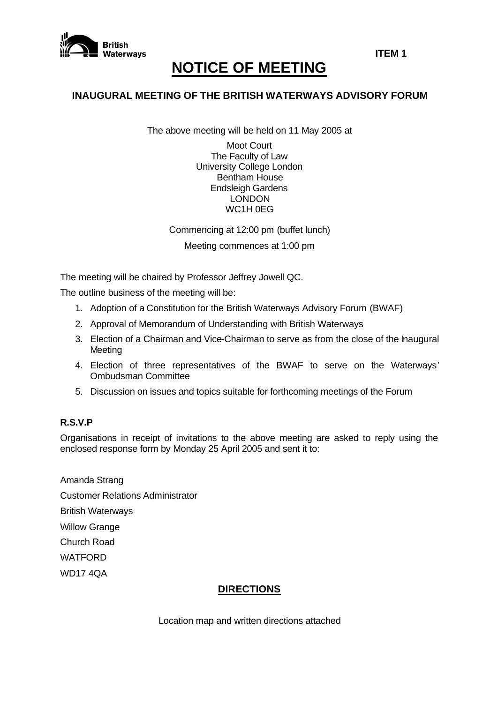

# **NOTICE OF MEETING**

## **INAUGURAL MEETING OF THE BRITISH WATERWAYS ADVISORY FORUM**

The above meeting will be held on 11 May 2005 at

Moot Court The Faculty of Law University College London Bentham House Endsleigh Gardens LONDON WC1H 0EG

Commencing at 12:00 pm (buffet lunch) Meeting commences at 1:00 pm

The meeting will be chaired by Professor Jeffrey Jowell QC.

The outline business of the meeting will be:

- 1. Adoption of a Constitution for the British Waterways Advisory Forum (BWAF)
- 2. Approval of Memorandum of Understanding with British Waterways
- 3. Election of a Chairman and Vice-Chairman to serve as from the close of the haugural Meeting
- 4. Election of three representatives of the BWAF to serve on the Waterways' Ombudsman Committee
- 5. Discussion on issues and topics suitable for forthcoming meetings of the Forum

#### **R.S.V.P**

Organisations in receipt of invitations to the above meeting are asked to reply using the enclosed response form by Monday 25 April 2005 and sent it to:

Amanda Strang Customer Relations Administrator British Waterways Willow Grange Church Road WATFORD WD17 4QA

## **DIRECTIONS**

Location map and written directions attached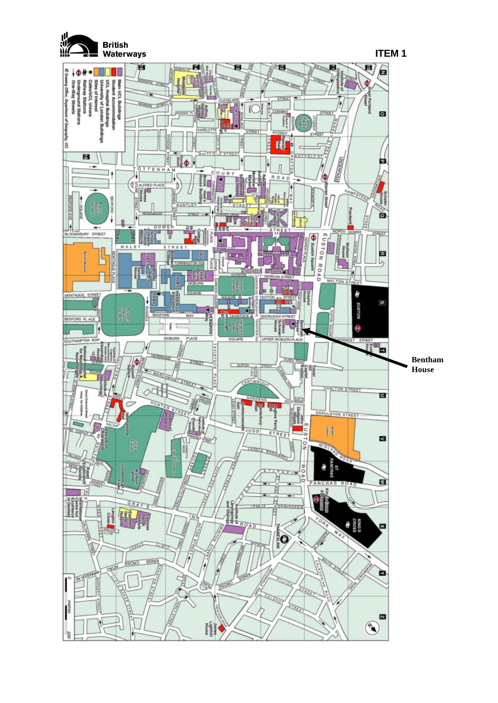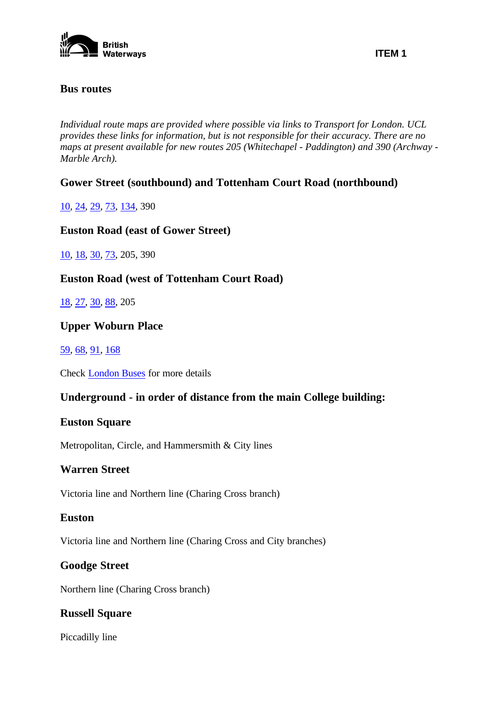

## **Bus routes**

*Individual route maps are provided where possible via links to Transport for London. UCL provides these links for information, but is not responsible for their accuracy. There are no maps at present available for new routes 205 (Whitechapel - Paddington) and 390 (Archway - Marble Arch).*

## **Gower Street (southbound) and Tottenham Court Road (northbound)**

10, 24, 29, 73, 134, 390

## **Euston Road (east of Gower Street)**

10, 18, 30, 73, 205, 390

**Euston Road (west of Tottenham Court Road)** 

18, 27, 30, 88, 205

## **Upper Woburn Place**

## 59, 68, 91, 168

Check London Buses for more details

## **Underground - in order of distance from the main College building:**

## **Euston Square**

Metropolitan, Circle, and Hammersmith & City lines

## **Warren Street**

Victoria line and Northern line (Charing Cross branch)

## **Euston**

Victoria line and Northern line (Charing Cross and City branches)

## **Goodge Street**

Northern line (Charing Cross branch)

## **Russell Square**

Piccadilly line